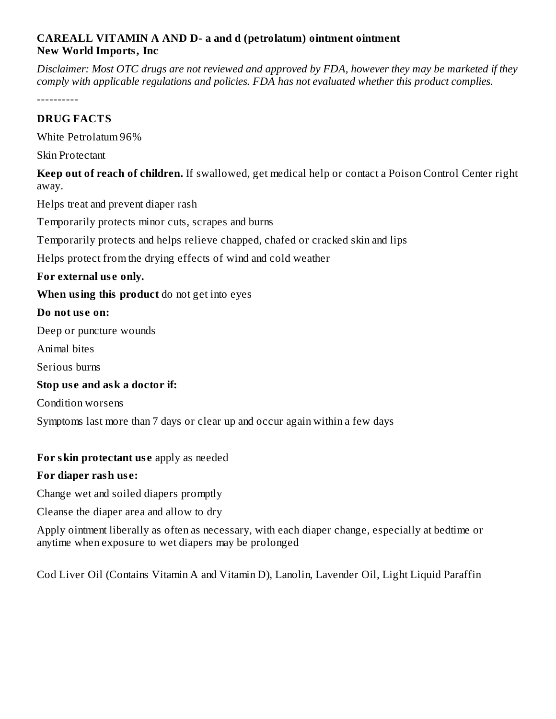# **CAREALL VITAMIN A AND D- a and d (petrolatum) ointment ointment New World Imports, Inc**

Disclaimer: Most OTC drugs are not reviewed and approved by FDA, however they may be marketed if they *comply with applicable regulations and policies. FDA has not evaluated whether this product complies.*

----------

# **DRUG FACTS**

White Petrolatum 96%

Skin Protectant

**Keep out of reach of children.** If swallowed, get medical help or contact a Poison Control Center right away.

Helps treat and prevent diaper rash

Temporarily protects minor cuts, scrapes and burns

Temporarily protects and helps relieve chapped, chafed or cracked skin and lips

Helps protect from the drying effects of wind and cold weather

### **For external us e only.**

**When using this product** do not get into eyes

#### **Do not us e on:**

Deep or puncture wounds

Animal bites

Serious burns

### **Stop us e and ask a doctor if:**

Condition worsens

Symptoms last more than 7 days or clear up and occur again within a few days

### **For skin protectant us e** apply as needed

# **For diaper rash us e:**

Change wet and soiled diapers promptly

Cleanse the diaper area and allow to dry

Apply ointment liberally as often as necessary, with each diaper change, especially at bedtime or anytime when exposure to wet diapers may be prolonged

Cod Liver Oil (Contains Vitamin A and Vitamin D), Lanolin, Lavender Oil, Light Liquid Paraffin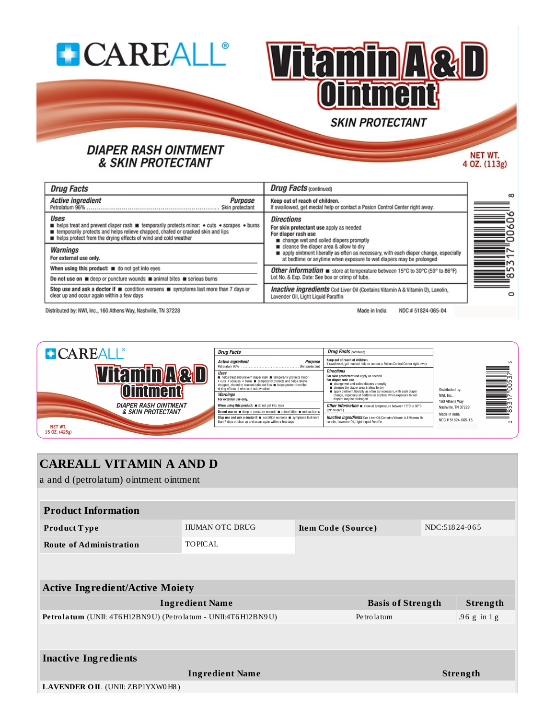



# **DIAPER RASH OINTMENT & SKIN PROTECTANT**

NET WT. 4 OZ. (113g)

| <b>Drug Facts</b>                                                                                                                                                                                                                                                                               | <b>Drug Facts (continued)</b>                                                                                                                                                                        |  |  |
|-------------------------------------------------------------------------------------------------------------------------------------------------------------------------------------------------------------------------------------------------------------------------------------------------|------------------------------------------------------------------------------------------------------------------------------------------------------------------------------------------------------|--|--|
| <b>Active ingredient</b><br>Purpose<br>Skin protectant                                                                                                                                                                                                                                          | Keep out of reach of children.<br>If swallowed, get mecial help or contact a Posion Control Center right away.                                                                                       |  |  |
| Uses<br><b>n</b> helps treat and prevent diaper rash <b>n</b> temporarily protects minor: $\bullet$ cuts $\bullet$ scrapes $\bullet$ burns<br>temporarily protects and helps relieve chapped, chafed or cracked skin and lips<br>helps protect from the drying effects of wind and cold weather | <b>Directions</b><br>For skin protectant use apply as needed<br>For diaper rash use<br>change wet and soiled diapers promptly                                                                        |  |  |
| Warnings<br>For external use only.                                                                                                                                                                                                                                                              | cleanse the diaper area & allow to dry<br>apply ointment liberally as often as necessary, with each diaper change, especially<br>at bedtime or anytime when exposure to wet diapers may be prolonged |  |  |
| When using this product: $\blacksquare$ do not get into eyes                                                                                                                                                                                                                                    | <b>Other information <math>\blacksquare</math></b> store at temperature between 15°C to 30°C (59° to 86°F)<br>Lot No. & Exp. Date: See box or crimp of tube.                                         |  |  |
| Do not use on $\blacksquare$ deep or puncture wounds $\blacksquare$ animal bites $\blacksquare$ serious burns                                                                                                                                                                                   |                                                                                                                                                                                                      |  |  |
| Stop use and ask a doctor if ■ condition worsens ■ symptoms last more than 7 days or<br>clear up and occur again within a few days                                                                                                                                                              | <b>Inactive ingredients</b> Cod Liver Oil (Contains Vitamin A & Vitamin D), Lanolin,<br>Lavender Oil, Light Liquid Paraffin                                                                          |  |  |
| Distributed by: NWL Inc., 160 Athens Way, Nashville, TN 37228                                                                                                                                                                                                                                   | Made in India<br>NDC #51824-065-04                                                                                                                                                                   |  |  |

iens way, Na



| <i><b>Drug Facts</b></i>                                                                                                                                                                                                                                                        | <b>Drug Facts (continued)</b>                                                                                                                                                                                                               |                                                 |  |
|---------------------------------------------------------------------------------------------------------------------------------------------------------------------------------------------------------------------------------------------------------------------------------|---------------------------------------------------------------------------------------------------------------------------------------------------------------------------------------------------------------------------------------------|-------------------------------------------------|--|
| <i><b><u>Ictive inaredient</u></b></i><br><b>Purpose</b><br>$etrolatum 96\%$<br>Skin protectant                                                                                                                                                                                 | Keep out of reach of children.<br>If swallowed, get medical help or contact a Poison Control Center right away.                                                                                                                             |                                                 |  |
| Ises<br>helps treat and prevent diaper rash <b>m</b> temporarily protects minor:<br>cuts . scrapes . burns <b>u</b> temporarily protects and helps relieve<br>happed, chafed or cracked skin and lips <b>n</b> helps protect from the<br>rving effects of wind and cold weather | <b>Directions</b><br>For skin protectant use apply as needed<br>For diaper rash use<br>change wet and soiled diapers promptly<br>cleanse the diaper area & allow to dry<br>apply ointment liberally as often as necessary, with each diaper | Distributed by:<br>NWI, Inc.,<br>160 Athens Wav |  |
| Varnings<br>or external use only.                                                                                                                                                                                                                                               | change, especially at bedtime or anytime when exposure to wet<br>diapers may be prolonged                                                                                                                                                   |                                                 |  |
| Then using this product: a do not get into eyes                                                                                                                                                                                                                                 | Other information $\blacksquare$ store at temperature between 15°C to 30°C                                                                                                                                                                  | Nashville, TN 37228                             |  |
| o not use on $\blacksquare$ deep or puncture wounds $\blacksquare$ animal bites $\blacksquare$ serious burns                                                                                                                                                                    | (59° to 86°F)                                                                                                                                                                                                                               | Made in India                                   |  |
| top use and ask a doctor if <b>m</b> condition worsens <b>m</b> symptoms last more<br>an 7 days or clear up and occur again within a few days                                                                                                                                   | <b>Inactive ingredients</b> Cod Liver Oil (Contains Vitamin A & Vitamin D).<br>Lanolin, Lavender Oil, Light Liquid Paraffin                                                                                                                 | NDC #51824-065-15                               |  |

#### **CAREALL VITAMIN A AND D** a and d (petrolatum) ointment ointment **Product Information** HUMAN OTC DRUG NDC:51824-065 Product Type Item Code (Source) **Route of Administration TOPICAL Active Ingredient/Active Moiety** Strength **Ingredient Name Basis of Strength** Petrolatum (UNII: 4T6H12BN9U) (Petrolatum - UNII:4T6H12BN9U) Petrolatum .96 g in 1g **Inactive Ingredients Strength Ingredient Name** LAVENDER OIL (UNII: ZBP1YXW0H8)